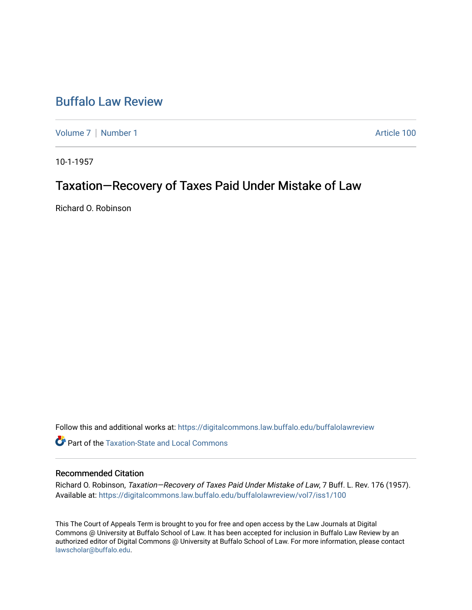## [Buffalo Law Review](https://digitalcommons.law.buffalo.edu/buffalolawreview)

[Volume 7](https://digitalcommons.law.buffalo.edu/buffalolawreview/vol7) | [Number 1](https://digitalcommons.law.buffalo.edu/buffalolawreview/vol7/iss1) Article 100

10-1-1957

# Taxation—Recovery of Taxes Paid Under Mistake of Law

Richard O. Robinson

Follow this and additional works at: [https://digitalcommons.law.buffalo.edu/buffalolawreview](https://digitalcommons.law.buffalo.edu/buffalolawreview?utm_source=digitalcommons.law.buffalo.edu%2Fbuffalolawreview%2Fvol7%2Fiss1%2F100&utm_medium=PDF&utm_campaign=PDFCoverPages) 

**C** Part of the Taxation-State and Local Commons

### Recommended Citation

Richard O. Robinson, Taxation—Recovery of Taxes Paid Under Mistake of Law, 7 Buff. L. Rev. 176 (1957). Available at: [https://digitalcommons.law.buffalo.edu/buffalolawreview/vol7/iss1/100](https://digitalcommons.law.buffalo.edu/buffalolawreview/vol7/iss1/100?utm_source=digitalcommons.law.buffalo.edu%2Fbuffalolawreview%2Fvol7%2Fiss1%2F100&utm_medium=PDF&utm_campaign=PDFCoverPages)

This The Court of Appeals Term is brought to you for free and open access by the Law Journals at Digital Commons @ University at Buffalo School of Law. It has been accepted for inclusion in Buffalo Law Review by an authorized editor of Digital Commons @ University at Buffalo School of Law. For more information, please contact [lawscholar@buffalo.edu](mailto:lawscholar@buffalo.edu).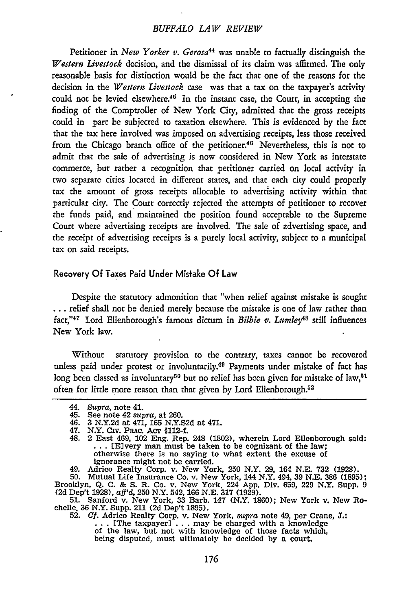### *BUFFALO LAW REVIEW*

Petitioner in *New Yorker v. Gerosa<sup>44</sup>* was unable to factually distinguish the *Western Livestock* decision, and the dismissal of its claim was affirmed. The only reasonable basis for distinction would be the fact that one of the reasons for the decision in the *Western Livestock* case was that a tax on the taxpayer's activity could not be levied elsewhere.<sup>45</sup> In the instant case, the Court, in accepting the finding of the Comptroller of New York City, admitted that the gross receipts could in part be subjected to taxation elsewhere. This is evidenced by the fact that the tax here involved was imposed on advertising receipts, less those received from the Chicago branch office of the petitioner.<sup>46</sup> Nevertheless, this is not to admit that the sale of advertising is now considered in New York as interstate commerce, but rather a recognition that petitioner carried on local activity in two separate cities located in different states, and that each city could properly tax the amount of gross receipts allocable to advertising activity within that particular city. The Court correctly rejected the attempts of petitioner to recover the funds paid, and maintained the position found acceptable to the Supreme Court where advertising receipts are involved. The sale of advertising space, and the receipt of advertising receipts is a purely local activity, subject to a municipal tax on said receipts.

#### Recovery **Of** Taxes Paid Under Mistake **Of** Law

Despite the statutory admonition that "when relief against mistake is sought **...** relief shall not be denied merely because the mistake is one of law rather than fact,"<sup>47</sup> Lord Ellenborough's famous dictum in *Bilbie v. Lumley*<sup>48</sup> still influences New York law.

Without statutory provision to the contrary, taxes cannot be recovered unless paid under protest or involuntarily.<sup>49</sup> Payments under mistake of fact has long been classed as involuntary<sup>50</sup> but no relief has been given for mistake of law,<sup>51</sup> often for little more reason than that given by Lord Ellenborough.<sup>52</sup>

49. Adrico Realty Corp. v. New York, 250 N.Y. 29, 164 N.E. 732 (1928).

50. Mutual Life Insurance Co. v. New York, 144 N.Y. 494, 39 N.E. **386 (1895);** Brooklyn, Q. **C.** & **S.** R. Co. v. New York. 224 App. Div. 659, 229 N.Y. Supp. 9 (2d Dep't 1928), *af'd,* 250 N.Y. 542, **166 N.E. 317** (1929). **51.** Sanford v. New York, 33 Barb. 147 (N.Y. **1860);** New York v. New Ro-

chelle, 36 N.Y. Supp. 211 (2d Dep't 1895). 52. *Cf.* Adrico Realty Corp. v. New York, *supra* note 49, per Crane, **J.:**

**52.** *Cf.* Adrico Realty Corp. v. New York, supra note 49, per Crane, J.:<br>
... [The taxpayer] ... may be charged with a knowledge of the law, but not with knowledge of those facts which, being disputed, must ultimately be decided **by** a court,

<sup>44.</sup> *Supra,* note 41.

<sup>45.</sup> See note 42 *supra,* at 260. 46. 3 N.Y.2d at 471, 165 N.Y.S2d at 471.

<sup>47.</sup> N.Y. Civ. PAc. Acr §112-f.

<sup>48. 2</sup> East 469, 102 Eng. Rep. 248 (1802), wherein Lord Ellenborough said: **...** (E]very man must be taken to be cognizant of the law; otherwise there is no saying to what extent the excuse of ignorance might not be carried.